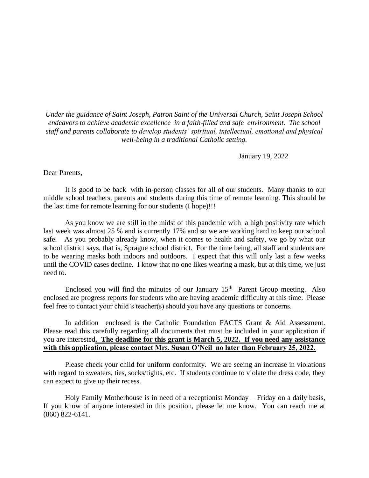*Under the guidance of Saint Joseph, Patron Saint of the Universal Church, Saint Joseph School endeavors to achieve academic excellence in a faith-filled and safe environment. The school staff and parents collaborate to develop students' spiritual, intellectual, emotional and physical well-being in a traditional Catholic setting.*

January 19, 2022

Dear Parents,

It is good to be back with in-person classes for all of our students. Many thanks to our middle school teachers, parents and students during this time of remote learning. This should be the last time for remote learning for our students (I hope)!!!

As you know we are still in the midst of this pandemic with a high positivity rate which last week was almost 25 % and is currently 17% and so we are working hard to keep our school safe. As you probably already know, when it comes to health and safety, we go by what our school district says, that is, Sprague school district. For the time being, all staff and students are to be wearing masks both indoors and outdoors. I expect that this will only last a few weeks until the COVID cases decline. I know that no one likes wearing a mask, but at this time, we just need to.

Enclosed you will find the minutes of our January  $15<sup>th</sup>$  Parent Group meeting. Also enclosed are progress reports for students who are having academic difficulty at this time. Please feel free to contact your child's teacher(s) should you have any questions or concerns.

In addition enclosed is the Catholic Foundation FACTS Grant & Aid Assessment. Please read this carefully regarding all documents that must be included in your application if you are interested**. The deadline for this grant is March 5, 2022. If you need any assistance with this application, please contact Mrs. Susan O'Neil no later than February 25, 2022.**

Please check your child for uniform conformity. We are seeing an increase in violations with regard to sweaters, ties, socks/tights, etc. If students continue to violate the dress code, they can expect to give up their recess.

Holy Family Motherhouse is in need of a receptionist Monday – Friday on a daily basis, If you know of anyone interested in this position, please let me know. You can reach me at (860) 822-6141.